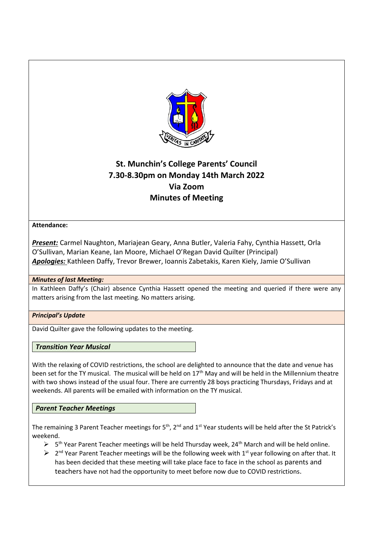

# **St. Munchin's College Parents' Council 7.30-8.30pm on Monday 14th March 2022 Via Zoom Minutes of Meeting**

## **Attendance:**

*Present:* Carmel Naughton, Mariajean Geary, Anna Butler, Valeria Fahy, Cynthia Hassett, Orla O'Sullivan, Marian Keane, Ian Moore, Michael O'Regan David Quilter (Principal) *Apologies:* Kathleen Daffy, Trevor Brewer, Ioannis Zabetakis, Karen Kiely, Jamie O'Sullivan

## *Minutes of last Meeting:*

In Kathleen Daffy's (Chair) absence Cynthia Hassett opened the meeting and queried if there were any matters arising from the last meeting. No matters arising.

## *Principal's Update*

David Quilter gave the following updates to the meeting.

## *Transition Year Musical*

With the relaxing of COVID restrictions, the school are delighted to announce that the date and venue has been set for the TY musical. The musical will be held on 17<sup>th</sup> May and will be held in the Millennium theatre with two shows instead of the usual four. There are currently 28 boys practicing Thursdays, Fridays and at weekends. All parents will be emailed with information on the TY musical.

## *Parent Teacher Meetings*

The remaining 3 Parent Teacher meetings for 5<sup>th</sup>, 2<sup>nd</sup> and 1<sup>st</sup> Year students will be held after the St Patrick's weekend.

- $\triangleright$  5<sup>th</sup> Year Parent Teacher meetings will be held Thursday week, 24<sup>th</sup> March and will be held online.
- $\triangleright$  2<sup>nd</sup> Year Parent Teacher meetings will be the following week with 1<sup>st</sup> year following on after that. It has been decided that these meeting will take place face to face in the school as parents and teachers have not had the opportunity to meet before now due to COVID restrictions.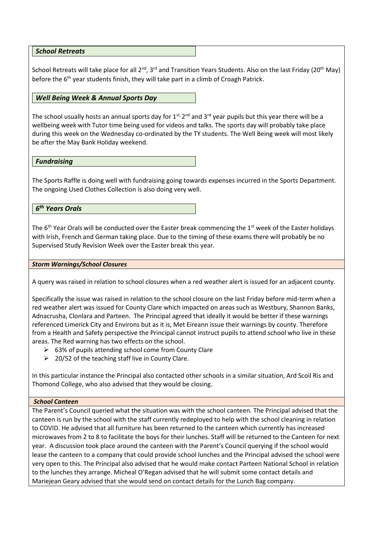*School Retreats*

School Retreats will take place for all 2<sup>nd</sup>, 3<sup>rd</sup> and Transition Years Students. Also on the last Friday (20<sup>th</sup> May) before the  $6<sup>th</sup>$  year students finish, they will take part in a climb of Croagh Patrick.

#### *Well Being Week & Annual Sports Day*

The school usually hosts an annual sports day for 1<sup>st,</sup> 2<sup>nd</sup> and 3<sup>rd</sup> year pupils but this year there will be a wellbeing week with Tutor time being used for videos and talks. The sports day will probably take place during this week on the Wednesday co-ordinated by the TY students. The Well Being week will most likely be after the May Bank Holiday weekend.

*Fundraising*

The Sports Raffle is doing well with fundraising going towards expenses incurred in the Sports Department. The ongoing Used Clothes Collection is also doing very well.

*6 th Years Orals*

The  $6<sup>th</sup>$  Year Orals will be conducted over the Easter break commencing the 1<sup>st</sup> week of the Easter holidays with Irish, French and German taking place. Due to the timing of these exams there will probably be no Supervised Study Revision Week over the Easter break this year.

#### *Storm Warnings/School Closures*

A query was raised in relation to school closures when a red weather alert is issued for an adjacent county.

Specifically the issue was raised in relation to the school closure on the last Friday before mid-term when a red weather alert was issued for County Clare which impacted on areas such as Westbury, Shannon Banks, Adnacrusha, Clonlara and Parteen. The Principal agreed that ideally it would be better if these warnings referenced Limerick City and Environs but as it is, Met Eireann issue their warnings by county. Therefore from a Health and Safety perspective the Principal cannot instruct pupils to attend school who live in these areas. The Red warning has two effects on the school.

- ➢ 63% of pupils attending school come from County Clare
- $\geq$  20/52 of the teaching staff live in County Clare.

In this particular instance the Principal also contacted other schools in a similar situation, Ard Scoil Ris and Thomond College, who also advised that they would be closing.

#### *School Canteen*

The Parent's Council queried what the situation was with the school canteen. The Principal advised that the canteen is run by the school with the staff currently redeployed to help with the school cleaning in relation to COVID. He advised that all furniture has been returned to the canteen which currently has increased microwaves from 2 to 8 to facilitate the boys for their lunches. Staff will be returned to the Canteen for next year. A discussion took place around the canteen with the Parent's Council querying if the school would lease the canteen to a company that could provide school lunches and the Principal advised the school were very open to this. The Principal also advised that he would make contact Parteen National School in relation to the lunches they arrange. Micheal O'Regan advised that he will submit some contact details and Mariejean Geary advised that she would send on contact details for the Lunch Bag company.